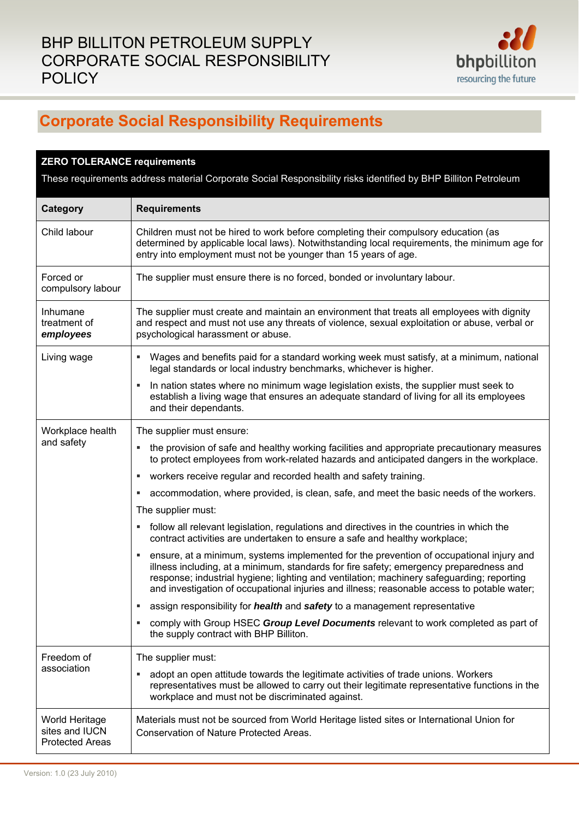

## **Corporate Social Responsibility Requirements**

| <b>ZERO TOLERANCE requirements</b>                                                                             |                                                                                                                                                                                                                                                                                                                                                                               |  |
|----------------------------------------------------------------------------------------------------------------|-------------------------------------------------------------------------------------------------------------------------------------------------------------------------------------------------------------------------------------------------------------------------------------------------------------------------------------------------------------------------------|--|
| These requirements address material Corporate Social Responsibility risks identified by BHP Billiton Petroleum |                                                                                                                                                                                                                                                                                                                                                                               |  |
| Category                                                                                                       | <b>Requirements</b>                                                                                                                                                                                                                                                                                                                                                           |  |
| Child labour                                                                                                   | Children must not be hired to work before completing their compulsory education (as<br>determined by applicable local laws). Notwithstanding local requirements, the minimum age for<br>entry into employment must not be younger than 15 years of age.                                                                                                                       |  |
| Forced or<br>compulsory labour                                                                                 | The supplier must ensure there is no forced, bonded or involuntary labour.                                                                                                                                                                                                                                                                                                    |  |
| Inhumane<br>treatment of<br>employees                                                                          | The supplier must create and maintain an environment that treats all employees with dignity<br>and respect and must not use any threats of violence, sexual exploitation or abuse, verbal or<br>psychological harassment or abuse.                                                                                                                                            |  |
| Living wage                                                                                                    | Wages and benefits paid for a standard working week must satisfy, at a minimum, national<br>ш.<br>legal standards or local industry benchmarks, whichever is higher.                                                                                                                                                                                                          |  |
|                                                                                                                | In nation states where no minimum wage legislation exists, the supplier must seek to<br>п<br>establish a living wage that ensures an adequate standard of living for all its employees<br>and their dependants.                                                                                                                                                               |  |
| Workplace health<br>and safety                                                                                 | The supplier must ensure:                                                                                                                                                                                                                                                                                                                                                     |  |
|                                                                                                                | the provision of safe and healthy working facilities and appropriate precautionary measures<br>to protect employees from work-related hazards and anticipated dangers in the workplace.                                                                                                                                                                                       |  |
|                                                                                                                | workers receive regular and recorded health and safety training.<br>Е                                                                                                                                                                                                                                                                                                         |  |
|                                                                                                                | accommodation, where provided, is clean, safe, and meet the basic needs of the workers.                                                                                                                                                                                                                                                                                       |  |
|                                                                                                                | The supplier must:                                                                                                                                                                                                                                                                                                                                                            |  |
|                                                                                                                | follow all relevant legislation, regulations and directives in the countries in which the<br>٠<br>contract activities are undertaken to ensure a safe and healthy workplace;                                                                                                                                                                                                  |  |
|                                                                                                                | ensure, at a minimum, systems implemented for the prevention of occupational injury and<br>illness including, at a minimum, standards for fire safety; emergency preparedness and<br>response; industrial hygiene; lighting and ventilation; machinery safeguarding; reporting<br>and investigation of occupational injuries and illness; reasonable access to potable water; |  |
|                                                                                                                | assign responsibility for <i>health</i> and safety to a management representative<br>ш                                                                                                                                                                                                                                                                                        |  |
|                                                                                                                | comply with Group HSEC Group Level Documents relevant to work completed as part of<br>٠<br>the supply contract with BHP Billiton.                                                                                                                                                                                                                                             |  |
| Freedom of<br>association                                                                                      | The supplier must:                                                                                                                                                                                                                                                                                                                                                            |  |
|                                                                                                                | adopt an open attitude towards the legitimate activities of trade unions. Workers<br>representatives must be allowed to carry out their legitimate representative functions in the<br>workplace and must not be discriminated against.                                                                                                                                        |  |
| World Heritage<br>sites and IUCN<br><b>Protected Areas</b>                                                     | Materials must not be sourced from World Heritage listed sites or International Union for<br>Conservation of Nature Protected Areas.                                                                                                                                                                                                                                          |  |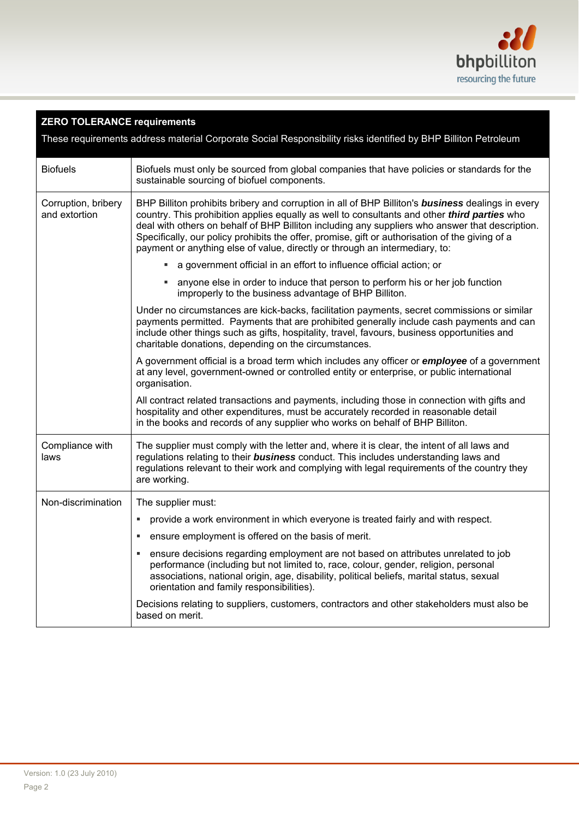

## **ZERO TOLERANCE requirements**

These requirements address material Corporate Social Responsibility risks identified by BHP Billiton Petroleum

| <b>Biofuels</b>                      | Biofuels must only be sourced from global companies that have policies or standards for the<br>sustainable sourcing of biofuel components.                                                                                                                                                                                                                                                                                                                                                           |
|--------------------------------------|------------------------------------------------------------------------------------------------------------------------------------------------------------------------------------------------------------------------------------------------------------------------------------------------------------------------------------------------------------------------------------------------------------------------------------------------------------------------------------------------------|
| Corruption, bribery<br>and extortion | BHP Billiton prohibits bribery and corruption in all of BHP Billiton's <b>business</b> dealings in every<br>country. This prohibition applies equally as well to consultants and other <i>third parties</i> who<br>deal with others on behalf of BHP Billiton including any suppliers who answer that description.<br>Specifically, our policy prohibits the offer, promise, gift or authorisation of the giving of a<br>payment or anything else of value, directly or through an intermediary, to: |
|                                      | a government official in an effort to influence official action; or                                                                                                                                                                                                                                                                                                                                                                                                                                  |
|                                      | • anyone else in order to induce that person to perform his or her job function<br>improperly to the business advantage of BHP Billiton.                                                                                                                                                                                                                                                                                                                                                             |
|                                      | Under no circumstances are kick-backs, facilitation payments, secret commissions or similar<br>payments permitted. Payments that are prohibited generally include cash payments and can<br>include other things such as gifts, hospitality, travel, favours, business opportunities and<br>charitable donations, depending on the circumstances.                                                                                                                                                     |
|                                      | A government official is a broad term which includes any officer or <i>employee</i> of a government<br>at any level, government-owned or controlled entity or enterprise, or public international<br>organisation.                                                                                                                                                                                                                                                                                   |
|                                      | All contract related transactions and payments, including those in connection with gifts and<br>hospitality and other expenditures, must be accurately recorded in reasonable detail<br>in the books and records of any supplier who works on behalf of BHP Billiton.                                                                                                                                                                                                                                |
| Compliance with<br>laws              | The supplier must comply with the letter and, where it is clear, the intent of all laws and<br>regulations relating to their <b>business</b> conduct. This includes understanding laws and<br>regulations relevant to their work and complying with legal requirements of the country they<br>are working.                                                                                                                                                                                           |
| Non-discrimination                   | The supplier must:                                                                                                                                                                                                                                                                                                                                                                                                                                                                                   |
|                                      | provide a work environment in which everyone is treated fairly and with respect.<br>$\blacksquare$                                                                                                                                                                                                                                                                                                                                                                                                   |
|                                      | ensure employment is offered on the basis of merit.                                                                                                                                                                                                                                                                                                                                                                                                                                                  |
|                                      | ensure decisions regarding employment are not based on attributes unrelated to job<br>performance (including but not limited to, race, colour, gender, religion, personal<br>associations, national origin, age, disability, political beliefs, marital status, sexual<br>orientation and family responsibilities).                                                                                                                                                                                  |
|                                      | Decisions relating to suppliers, customers, contractors and other stakeholders must also be<br>based on merit.                                                                                                                                                                                                                                                                                                                                                                                       |